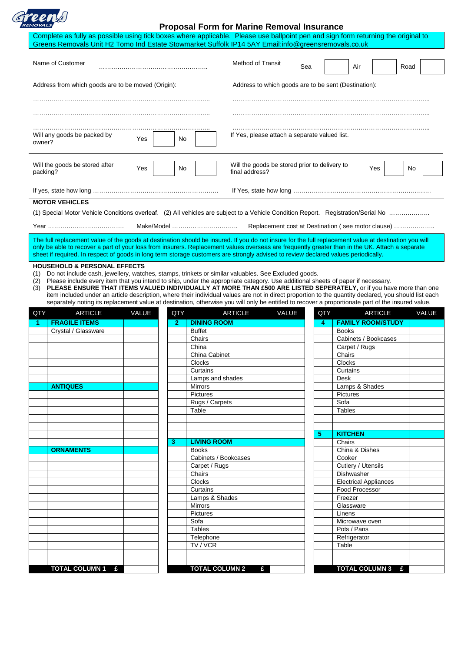|--|

## **Proposal Form for Marine Removal Insurance**

| Complete as fully as possible using tick boxes where applicable. Please use ballpoint pen and sign form returning the original to<br>Greens Removals Unit H2 Tomo Ind Estate Stowmarket Suffolk IP14 5AY Email:info@greensremovals.co.uk                                                                 |                                                                                                                                                                                                                                                                                                                                                                                                                                                                                                                                                                                                                                                                                   |                               |                                                                 |                                                      |  |     |                              |                |    |       |
|----------------------------------------------------------------------------------------------------------------------------------------------------------------------------------------------------------------------------------------------------------------------------------------------------------|-----------------------------------------------------------------------------------------------------------------------------------------------------------------------------------------------------------------------------------------------------------------------------------------------------------------------------------------------------------------------------------------------------------------------------------------------------------------------------------------------------------------------------------------------------------------------------------------------------------------------------------------------------------------------------------|-------------------------------|-----------------------------------------------------------------|------------------------------------------------------|--|-----|------------------------------|----------------|----|-------|
| Name of Customer                                                                                                                                                                                                                                                                                         |                                                                                                                                                                                                                                                                                                                                                                                                                                                                                                                                                                                                                                                                                   |                               |                                                                 | <b>Method of Transit</b><br>Sea<br>Air<br>Road       |  |     |                              |                |    |       |
| Address from which goods are to be moved (Origin):                                                                                                                                                                                                                                                       |                                                                                                                                                                                                                                                                                                                                                                                                                                                                                                                                                                                                                                                                                   |                               |                                                                 | Address to which goods are to be sent (Destination): |  |     |                              |                |    |       |
| Will any goods be packed by<br>owner?                                                                                                                                                                                                                                                                    | Yes                                                                                                                                                                                                                                                                                                                                                                                                                                                                                                                                                                                                                                                                               | No.                           | If Yes, please attach a separate valued list.                   |                                                      |  |     |                              |                |    |       |
| Will the goods be stored after<br>packing?                                                                                                                                                                                                                                                               | Yes                                                                                                                                                                                                                                                                                                                                                                                                                                                                                                                                                                                                                                                                               | No                            | Will the goods be stored prior to delivery to<br>final address? |                                                      |  |     |                              | Yes            | No |       |
|                                                                                                                                                                                                                                                                                                          |                                                                                                                                                                                                                                                                                                                                                                                                                                                                                                                                                                                                                                                                                   |                               |                                                                 |                                                      |  |     |                              |                |    |       |
| <b>MOTOR VEHICLES</b>                                                                                                                                                                                                                                                                                    |                                                                                                                                                                                                                                                                                                                                                                                                                                                                                                                                                                                                                                                                                   |                               |                                                                 |                                                      |  |     |                              |                |    |       |
|                                                                                                                                                                                                                                                                                                          |                                                                                                                                                                                                                                                                                                                                                                                                                                                                                                                                                                                                                                                                                   |                               |                                                                 |                                                      |  |     |                              |                |    |       |
|                                                                                                                                                                                                                                                                                                          |                                                                                                                                                                                                                                                                                                                                                                                                                                                                                                                                                                                                                                                                                   | Make/Model                    |                                                                 | Replacement cost at Destination (see motor clause)   |  |     |                              |                |    |       |
|                                                                                                                                                                                                                                                                                                          |                                                                                                                                                                                                                                                                                                                                                                                                                                                                                                                                                                                                                                                                                   |                               |                                                                 |                                                      |  |     |                              |                |    |       |
| The full replacement value of the goods at destination should be insured. If you do not insure for the full replacement value at destination you will<br>only be able to recover a part of your loss from insurers. Replacement values overseas are frequently greater than in the UK. Attach a separate |                                                                                                                                                                                                                                                                                                                                                                                                                                                                                                                                                                                                                                                                                   |                               |                                                                 |                                                      |  |     |                              |                |    |       |
| sheet if required. In respect of goods in long term storage customers are strongly advised to review declared values periodically.                                                                                                                                                                       |                                                                                                                                                                                                                                                                                                                                                                                                                                                                                                                                                                                                                                                                                   |                               |                                                                 |                                                      |  |     |                              |                |    |       |
| (3)                                                                                                                                                                                                                                                                                                      | Do not include cash, jewellery, watches, stamps, trinkets or similar valuables. See Excluded goods.<br>Please include every item that you intend to ship, under the appropriate category. Use additional sheets of paper if necessary.<br>(2)<br>PLEASE ENSURE THAT ITEMS VALUED INDIVIDUALLY AT MORE THAN £500 ARE LISTED SEPERATELY, or if you have more than one<br>item included under an article description, where their individual values are not in direct proportion to the quantity declared, you should list each<br>separately noting its replacement value at destination, otherwise you will only be entitled to recover a proportionate part of the insured value. |                               |                                                                 |                                                      |  |     |                              |                |    |       |
| <b>ARTICLE</b><br>QTY<br><b>FRAGILE ITEMS</b>                                                                                                                                                                                                                                                            | VALUE                                                                                                                                                                                                                                                                                                                                                                                                                                                                                                                                                                                                                                                                             | QTY                           | <b>ARTICLE</b><br><b>DINING ROOM</b>                            | VALUE                                                |  | QTY | <b>FAMILY ROOM/STUDY</b>     | <b>ARTICLE</b> |    | VALUE |
| -1<br>Crystal / Glassware                                                                                                                                                                                                                                                                                |                                                                                                                                                                                                                                                                                                                                                                                                                                                                                                                                                                                                                                                                                   | $\mathbf{2}$<br><b>Buffet</b> |                                                                 |                                                      |  | 4   | <b>Books</b>                 |                |    |       |
|                                                                                                                                                                                                                                                                                                          |                                                                                                                                                                                                                                                                                                                                                                                                                                                                                                                                                                                                                                                                                   | Chairs                        |                                                                 |                                                      |  |     | Cabinets / Bookcases         |                |    |       |
|                                                                                                                                                                                                                                                                                                          |                                                                                                                                                                                                                                                                                                                                                                                                                                                                                                                                                                                                                                                                                   | China                         |                                                                 |                                                      |  |     | Carpet / Rugs                |                |    |       |
|                                                                                                                                                                                                                                                                                                          |                                                                                                                                                                                                                                                                                                                                                                                                                                                                                                                                                                                                                                                                                   | China Cabinet                 |                                                                 |                                                      |  |     | Chairs                       |                |    |       |
|                                                                                                                                                                                                                                                                                                          |                                                                                                                                                                                                                                                                                                                                                                                                                                                                                                                                                                                                                                                                                   | Clocks<br>Curtains            |                                                                 |                                                      |  |     | Clocks<br>Curtains           |                |    |       |
|                                                                                                                                                                                                                                                                                                          |                                                                                                                                                                                                                                                                                                                                                                                                                                                                                                                                                                                                                                                                                   |                               | Lamps and shades                                                |                                                      |  |     | Desk                         |                |    |       |
| <b>ANTIQUES</b>                                                                                                                                                                                                                                                                                          |                                                                                                                                                                                                                                                                                                                                                                                                                                                                                                                                                                                                                                                                                   | <b>Mirrors</b>                |                                                                 |                                                      |  |     | Lamps & Shades               |                |    |       |
|                                                                                                                                                                                                                                                                                                          |                                                                                                                                                                                                                                                                                                                                                                                                                                                                                                                                                                                                                                                                                   | Pictures                      |                                                                 |                                                      |  |     | Pictures                     |                |    |       |
|                                                                                                                                                                                                                                                                                                          |                                                                                                                                                                                                                                                                                                                                                                                                                                                                                                                                                                                                                                                                                   | Table                         | Rugs / Carpets                                                  |                                                      |  |     | Sofa<br><b>Tables</b>        |                |    |       |
|                                                                                                                                                                                                                                                                                                          |                                                                                                                                                                                                                                                                                                                                                                                                                                                                                                                                                                                                                                                                                   |                               |                                                                 |                                                      |  |     |                              |                |    |       |
|                                                                                                                                                                                                                                                                                                          |                                                                                                                                                                                                                                                                                                                                                                                                                                                                                                                                                                                                                                                                                   |                               |                                                                 |                                                      |  |     |                              |                |    |       |
|                                                                                                                                                                                                                                                                                                          |                                                                                                                                                                                                                                                                                                                                                                                                                                                                                                                                                                                                                                                                                   |                               |                                                                 |                                                      |  | 5   | <b>KITCHEN</b>               |                |    |       |
| <b>ORNAMENTS</b>                                                                                                                                                                                                                                                                                         |                                                                                                                                                                                                                                                                                                                                                                                                                                                                                                                                                                                                                                                                                   | 3<br><b>Books</b>             | <b>LIVING ROOM</b>                                              |                                                      |  |     | Chairs<br>China & Dishes     |                |    |       |
|                                                                                                                                                                                                                                                                                                          |                                                                                                                                                                                                                                                                                                                                                                                                                                                                                                                                                                                                                                                                                   |                               | Cabinets / Bookcases                                            |                                                      |  |     | Cooker                       |                |    |       |
|                                                                                                                                                                                                                                                                                                          |                                                                                                                                                                                                                                                                                                                                                                                                                                                                                                                                                                                                                                                                                   | Carpet / Rugs                 |                                                                 |                                                      |  |     | Cutlery / Utensils           |                |    |       |
|                                                                                                                                                                                                                                                                                                          |                                                                                                                                                                                                                                                                                                                                                                                                                                                                                                                                                                                                                                                                                   | Chairs                        |                                                                 |                                                      |  |     | Dishwasher                   |                |    |       |
|                                                                                                                                                                                                                                                                                                          |                                                                                                                                                                                                                                                                                                                                                                                                                                                                                                                                                                                                                                                                                   | Clocks                        |                                                                 |                                                      |  |     | <b>Electrical Appliances</b> |                |    |       |
|                                                                                                                                                                                                                                                                                                          |                                                                                                                                                                                                                                                                                                                                                                                                                                                                                                                                                                                                                                                                                   | Curtains                      | Lamps & Shades                                                  |                                                      |  |     | Food Processor<br>Freezer    |                |    |       |
|                                                                                                                                                                                                                                                                                                          |                                                                                                                                                                                                                                                                                                                                                                                                                                                                                                                                                                                                                                                                                   | <b>Mirrors</b>                |                                                                 |                                                      |  |     | Glassware                    |                |    |       |
|                                                                                                                                                                                                                                                                                                          |                                                                                                                                                                                                                                                                                                                                                                                                                                                                                                                                                                                                                                                                                   | Pictures                      |                                                                 |                                                      |  |     | Linens                       |                |    |       |
|                                                                                                                                                                                                                                                                                                          |                                                                                                                                                                                                                                                                                                                                                                                                                                                                                                                                                                                                                                                                                   | Sofa                          |                                                                 |                                                      |  |     | Microwave oven               |                |    |       |
|                                                                                                                                                                                                                                                                                                          |                                                                                                                                                                                                                                                                                                                                                                                                                                                                                                                                                                                                                                                                                   | <b>Tables</b>                 |                                                                 |                                                      |  |     | Pots / Pans                  |                |    |       |
|                                                                                                                                                                                                                                                                                                          |                                                                                                                                                                                                                                                                                                                                                                                                                                                                                                                                                                                                                                                                                   | Telephone<br>TV / VCR         |                                                                 |                                                      |  |     | Refrigerator<br>Table        |                |    |       |
|                                                                                                                                                                                                                                                                                                          |                                                                                                                                                                                                                                                                                                                                                                                                                                                                                                                                                                                                                                                                                   |                               |                                                                 |                                                      |  |     |                              |                |    |       |
|                                                                                                                                                                                                                                                                                                          |                                                                                                                                                                                                                                                                                                                                                                                                                                                                                                                                                                                                                                                                                   |                               |                                                                 |                                                      |  |     |                              |                |    |       |
| TOTAL COLUMN 1 £                                                                                                                                                                                                                                                                                         |                                                                                                                                                                                                                                                                                                                                                                                                                                                                                                                                                                                                                                                                                   |                               | <b>TOTAL COLUMN 2</b><br>£                                      |                                                      |  |     | TOTAL COLUMN 3 £             |                |    |       |